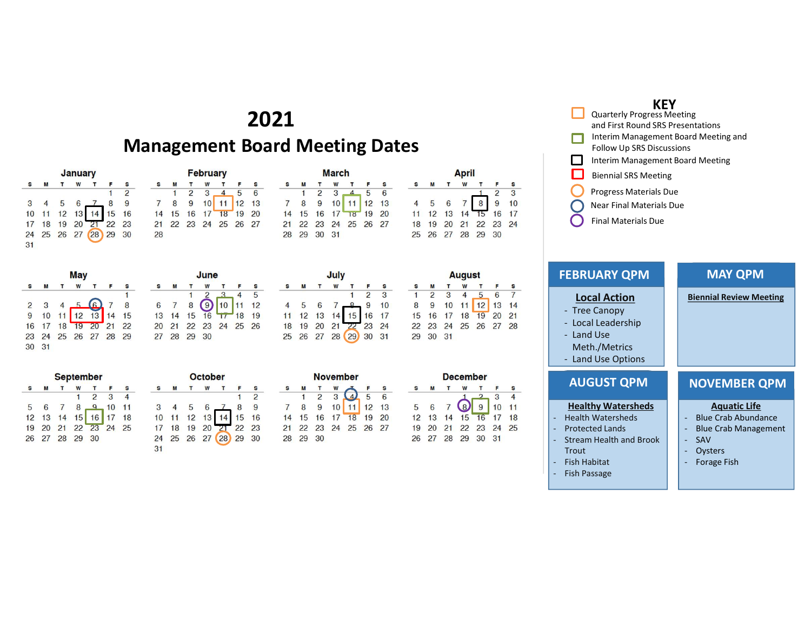## 2021

### Management Board Meeting Dates

S 5

S  $\overline{2}$  $\blacksquare$ 

4

 $10 \ 11 \ 12$ 18 19

 $+7$ 20 21 22 23 24 25 26

 $\mathbf{T}$ 

| <b>January</b> |   |  |  |                                        |       |                |  |  |
|----------------|---|--|--|----------------------------------------|-------|----------------|--|--|
|                | M |  |  |                                        |       | S              |  |  |
|                |   |  |  |                                        |       | $\overline{c}$ |  |  |
| 3              |   |  |  |                                        |       |                |  |  |
| 10             |   |  |  | 11 12 13 14 15 16<br>18 19 20 21 22 23 |       |                |  |  |
| 17             |   |  |  |                                        |       |                |  |  |
| 24             |   |  |  | 25 26 27 28                            | 29 30 |                |  |  |
| 31             |   |  |  |                                        |       |                |  |  |

| May          |   |                                        |  |         |  |   |  |
|--------------|---|----------------------------------------|--|---------|--|---|--|
| $\mathbf{s}$ | M | T W                                    |  | $T = F$ |  | s |  |
|              |   |                                        |  |         |  | 1 |  |
|              |   |                                        |  |         |  |   |  |
|              |   | $2$ 3 4 5 6 7 8<br>9 10 11 12 13 14 15 |  |         |  |   |  |
|              |   | 16 17 18 19 20 21 22                   |  |         |  |   |  |
|              |   | 23 24 25 26 27 28 29                   |  |         |  |   |  |
| 30 31        |   |                                        |  |         |  |   |  |

| September |   |              |                |                                                                 |  |  |  |  |
|-----------|---|--------------|----------------|-----------------------------------------------------------------|--|--|--|--|
| <b>S</b>  | M | $\mathbf{T}$ |                | W T F S                                                         |  |  |  |  |
|           |   |              |                | $1 \t2 \t3 \t4$                                                 |  |  |  |  |
|           |   |              |                |                                                                 |  |  |  |  |
|           |   |              |                |                                                                 |  |  |  |  |
|           |   |              |                | 5 6 7 8 9 10 11<br>12 13 14 15 16 17 18<br>19 20 21 22 23 24 25 |  |  |  |  |
|           |   |              | 26 27 28 29 30 |                                                                 |  |  |  |  |
|           |   |              |                |                                                                 |  |  |  |  |

| <b>February</b> |                   |                |   |           |                  |   |  |
|-----------------|-------------------|----------------|---|-----------|------------------|---|--|
|                 | M                 |                | W |           |                  | S |  |
|                 |                   | $\overline{2}$ | 3 |           | 5                | 6 |  |
|                 | 8                 |                |   | $9$ 10 11 | 12 <sub>13</sub> |   |  |
| 14              | 15 16 17 18 19 20 |                |   |           |                  |   |  |
| 21              | 22 23 24 25 26 27 |                |   |           |                  |   |  |
| 28              |                   |                |   |           |                  |   |  |

June  $W$ 

October  $\mathbf{w}$ 

 $\begin{array}{ccccccccc}\n3 & 4 & 5 & 6 & 7 & 8 & 9 \\
10 & 11 & 12 & 13 & 14 & 15 & 16\n\end{array}$ 

17 18 19 20 21 22 23 24 25 26 27 28 29 30

 $\mathbf{1}$  $\overline{c}$ 

 $6$  7 8 9<br>13 14 15 16

27 28 29 30

 $M$  $T$ 

s.

 $31$ 

 $\mathbf{s}$ M  $T$ 

| <b>March</b> |    |                |   |                          |   |   |  |  |  |
|--------------|----|----------------|---|--------------------------|---|---|--|--|--|
|              | M  |                |   |                          |   |   |  |  |  |
|              |    | $\overline{2}$ | 3 | $\overline{\phantom{0}}$ | 5 | 6 |  |  |  |
|              | 8  |                |   | 9 10 11 12 13            |   |   |  |  |  |
| 14           |    |                |   | 15 16 17 18 19 20        |   |   |  |  |  |
| 21           |    |                |   | 22 23 24 25 26 27        |   |   |  |  |  |
|              | 29 | 30             |   |                          |   |   |  |  |  |

|    | M  |       | W |                                                                                                         |                | S  |
|----|----|-------|---|---------------------------------------------------------------------------------------------------------|----------------|----|
|    |    |       |   |                                                                                                         | $\overline{c}$ | 3  |
|    | 5  |       |   |                                                                                                         |                |    |
| 11 | 12 |       |   | $\begin{array}{ccc} 6 & 7 & 8 & 9 & 10 \\ 13 & 14 & 15 & 16 & 17 \\ 20 & 21 & 22 & 23 & 24 \end{array}$ |                |    |
| 18 | 19 |       |   |                                                                                                         |                |    |
| 25 | 26 | 27 28 |   | 29)                                                                                                     | 30             | 31 |

| <b>November</b> |    |    |                |                   |            |      |  |  |
|-----------------|----|----|----------------|-------------------|------------|------|--|--|
|                 | M  |    |                |                   |            | s    |  |  |
|                 |    |    | 2 <sup>3</sup> |                   | $-5$       | $-6$ |  |  |
|                 | 8  |    | 9 10           |                   | $11$ 12 13 |      |  |  |
| 14              |    |    |                | 15 16 17 18 19 20 |            |      |  |  |
| 21              |    |    |                | 22 23 24 25 26 27 |            |      |  |  |
| 28              | 29 | 30 |                |                   |            |      |  |  |

|                |    |                |    | <b>August</b> |              |    |    |
|----------------|----|----------------|----|---------------|--------------|----|----|
| s              | S  | M              |    | W             |              |    | S  |
| $\overline{3}$ |    | $\overline{a}$ | 3  |               | 5            | 6  | 7  |
| 10             | 8  | 9              | 10 | 11            | $12 \mid 13$ |    | 14 |
| 17             | 15 | 16             | 17 | 18            | 19           | 20 | 21 |
| 24             | 22 | 23             | 24 | 25            | 26           | 27 | 28 |
| 31             | 29 | 30             | 31 |               |              |    |    |

**April** 

 $W$  T

 $\mathbf{s}$ F  $\overline{3}$  $10$ 

M  $\mathbf{r}$ 

> 6  $\overline{7}$ 8 9 16 17

11 12 13 14 15 18 19 20 21 22 23 24 25 26 27 28 29 30

4 5

|    | <b>December</b> |  |                      |  |             |  |  |  |  |  |
|----|-----------------|--|----------------------|--|-------------|--|--|--|--|--|
|    | M               |  | W                    |  |             |  |  |  |  |  |
|    |                 |  |                      |  | 3           |  |  |  |  |  |
| 5  | 6               |  | $7$ $\omega$         |  | 9   10   11 |  |  |  |  |  |
|    |                 |  | 12 13 14 15 16 17 18 |  |             |  |  |  |  |  |
| 19 | 20              |  | 21 22 23 24 25       |  |             |  |  |  |  |  |
| 26 |                 |  | 27 28 29 30 31       |  |             |  |  |  |  |  |

#### KEY ARE ARE A BARBARA A SHE'S A BARBARA A SHE'S A BARBARA A SHE'S A BARBARA A SHE'S A BARBARA A SHE'S A BARBARA Quarterly Progress Meeting and First Round SRS Presentations Interim Management Board Meeting and Follow Up SRS Discussions

- Interim Management Board Meeting
- Biennial SRS Meeting
- Progress Materials Due
- Near Final Materials Due
- Final Materials Due

| <b>KEY</b><br><b>Quarterly Progress Meeting</b><br>and First Round SRS Presentations<br>Interim Management Board Meeting and<br>Follow Up SRS Discussions<br>Interim Management Board Meeting<br><b>Biennial SRS Meeting</b><br>Progress Materials Due<br><b>Near Final Materials Due</b><br><b>Final Materials Due</b> |                                                                                                                                                      |  |
|-------------------------------------------------------------------------------------------------------------------------------------------------------------------------------------------------------------------------------------------------------------------------------------------------------------------------|------------------------------------------------------------------------------------------------------------------------------------------------------|--|
| <b>FEBRUARY QPM</b>                                                                                                                                                                                                                                                                                                     | <b>MAY QPM</b>                                                                                                                                       |  |
| <b>Local Action</b><br>- Tree Canopy<br>Local Leadership<br>÷,<br>- Land Use<br>Meth./Metrics<br>- Land Use Options                                                                                                                                                                                                     | <b>Biennial Review Meeting</b>                                                                                                                       |  |
| <b>AUGUST QPM</b><br><b>Healthy Watersheds</b><br><b>Health Watersheds</b><br>$\blacksquare$<br><b>Protected Lands</b><br>$\omega$<br>- Stream Health and Brook<br>Trout                                                                                                                                                | <b>NOVEMBER QPM</b><br><b>Aquatic Life</b><br><b>Blue Crab Abundance</b><br><b>Blue Crab Management</b><br>SAV<br>$\equiv$<br>Oysters<br>Forage Fish |  |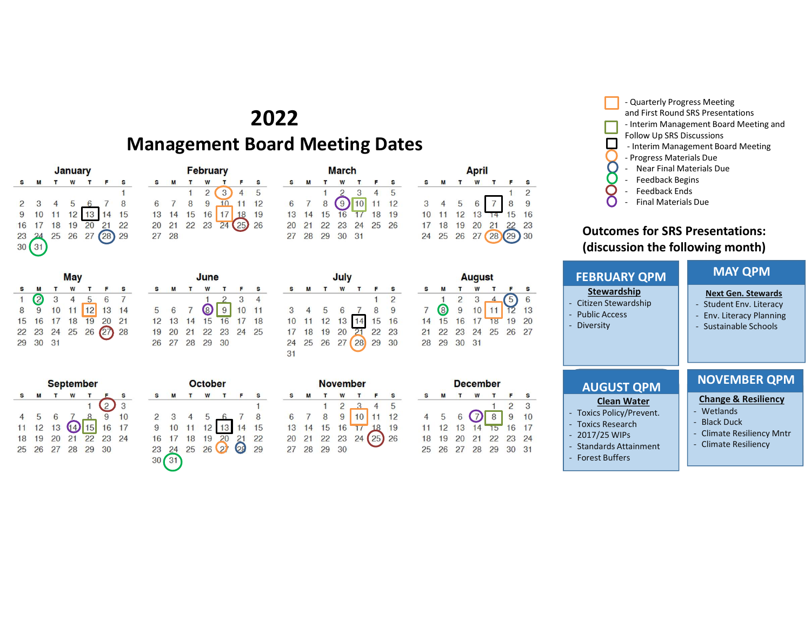# 2022

# Management Board Meeting Dates

| S<br>F                           |
|----------------------------------|
|                                  |
|                                  |
|                                  |
| 3 4 5 6 7 8<br>10 11 12 13 14 15 |
| 19 20 21 22                      |
| 25 26 27 28 29                   |
|                                  |
|                                  |

| May          |                  |              |                |   |                      |                |  |  |
|--------------|------------------|--------------|----------------|---|----------------------|----------------|--|--|
| S            | M                | $\mathbf{T}$ | W              | T | $\blacksquare$       | $\mathbf{s}$   |  |  |
| $\mathbf{1}$ | $\boldsymbol{c}$ |              | $3 \quad 4$    | 5 | $6^{\circ}$          | $\overline{7}$ |  |  |
| 8            | 9                |              |                |   | 10 11 12 13 14       |                |  |  |
|              |                  |              | 15 16 17 18 19 |   | 20 21                |                |  |  |
|              |                  |              |                |   | 22 23 24 25 26 27 28 |                |  |  |
| 29           | 30               | 31           |                |   |                      |                |  |  |

**September** 

4 5 6 7 8 9 10<br>11 12 13 4 15 16 17<br>18 19 20 21 22 23 24

25 26 27 28 29 30

T W T F

 $\mathbf{1}$ 

 $\mathbf{s}$  $\dot{Q}$  $\overline{3}$ 

M

|    | June |    |       |    |    |    |  |  |  |
|----|------|----|-------|----|----|----|--|--|--|
| s  | M    |    | W     |    |    | s  |  |  |  |
|    |      |    |       |    | 3  |    |  |  |  |
| 5  | 6    |    | 8     | 9  | 10 | 11 |  |  |  |
| 12 | 13   | 14 | 15    | 16 | 17 | 18 |  |  |  |
| 19 | 20   | 21 | 22 23 |    | 24 | 25 |  |  |  |
|    | 27   | 28 | 29    | 30 |    |    |  |  |  |

February

 $\begin{array}{cccccc}\n\bullet & \text{m} & \text{1} & \text{m} & \text{m} & \text{m} \\
\hline\n& 1 & 2 & 3 & 4 & 5 \\
6 & 7 & 8 & 9 & 10 & 11 & 12 \\
13 & 14 & 15 & 16 & 17 & 18 & 19 \\
20 & 21 & 22 & 23 & 24 & 25 & 26\n\end{array}$ 

 $\mathsf F$  $\mathbf{s}$ 

S M T W T

27 28

| <b>October</b> |  |                      |  |  |  |  |  |  |  |  |
|----------------|--|----------------------|--|--|--|--|--|--|--|--|
|                |  | 26 27 28 29 30       |  |  |  |  |  |  |  |  |
|                |  | 19 20 21 22 23 24 25 |  |  |  |  |  |  |  |  |
|                |  | 12 13 14 15 16 17 18 |  |  |  |  |  |  |  |  |

|   |        | W |                                           |  |
|---|--------|---|-------------------------------------------|--|
|   |        |   |                                           |  |
| 2 | 3      |   |                                           |  |
| 9 |        |   | $3$ 4 5 6 7 8<br>10 11 12 13 14 15        |  |
|   |        |   | 16 17 18 19 20 21 22<br>23 24 25 26 29 29 |  |
|   |        |   |                                           |  |
|   | 30(31) |   |                                           |  |

|    | <b>March</b> |    |                                                        |    |                 | <b>April</b> |             |    |  |   |  |                      |                |
|----|--------------|----|--------------------------------------------------------|----|-----------------|--------------|-------------|----|--|---|--|----------------------|----------------|
|    | М            |    | W                                                      |    |                 | - S          | s           | M  |  | W |  |                      | <b>S</b>       |
|    |              |    |                                                        | 3  | $4\overline{5}$ |              |             |    |  |   |  |                      | $\mathfrak{D}$ |
|    |              |    | $6 \quad 7 \quad 8 \quad 9 \quad 10 \quad 11 \quad 12$ |    |                 |              | $3 \quad 4$ |    |  |   |  | 5 6 7 8 9            |                |
|    |              |    | 13 14 15 16 17 18 19                                   |    |                 |              | 10          |    |  |   |  | 11 12 13 14 15 16    |                |
|    |              |    | 20 21 22 23 24 25 26                                   |    |                 |              |             | 18 |  |   |  | 19 20 21 22 23       |                |
| 27 | 28           | 29 | 30                                                     | 31 |                 |              |             |    |  |   |  | 24 25 26 27 28 29 30 |                |

|    |   | July |                      |   | Augu           |                |             |   |
|----|---|------|----------------------|---|----------------|----------------|-------------|---|
| s  | M | T W  | T                    | F |                | M              | T           | W |
|    |   |      |                      |   | $\overline{2}$ |                | $2 \quad 3$ |   |
|    |   |      | 4 5 6 7 8 9          |   |                |                | 8 9 10      |   |
|    |   |      | 10 11 12 13 14 15 16 |   |                | 14  15  16  17 |             |   |
|    |   |      | 17 18 19 20 21 22 23 |   |                | 21 22 23 24    |             |   |
|    |   |      | 24 25 26 27 28 29 30 |   |                | 28 29 30 31    |             |   |
| 31 |   |      |                      |   |                |                |             |   |

| <b>November</b> |    |          |                |    |                |    |  |  |  |  |
|-----------------|----|----------|----------------|----|----------------|----|--|--|--|--|
|                 |    |          | W              |    |                |    |  |  |  |  |
|                 |    |          | $\overline{2}$ |    |                | 5  |  |  |  |  |
| 6               |    | 8        | 9              |    |                | 12 |  |  |  |  |
| 13              | 14 | 15       | 16             |    | 18             | 19 |  |  |  |  |
| 20              |    | 21 22 23 |                | 24 | 2 <sub>5</sub> | 26 |  |  |  |  |
|                 |    | 29       | 30             |    |                |    |  |  |  |  |

| 17<br>24      | 18<br>25                | 19<br>26       | 20 | 21<br>27 (28 (29 ) | 22 | 23<br>30 |  |  |  |  |  |
|---------------|-------------------------|----------------|----|--------------------|----|----------|--|--|--|--|--|
| <b>August</b> |                         |                |    |                    |    |          |  |  |  |  |  |
| S             | M                       |                | W  |                    |    | S        |  |  |  |  |  |
|               |                         | $\overline{2}$ | 3  | 4                  | 5  | 6        |  |  |  |  |  |
|               | $\overline{\mathbf{8}}$ | 9              | 10 |                    |    | 13       |  |  |  |  |  |
| 4             | 15                      | 16             |    | 18                 | 19 | 20       |  |  |  |  |  |

| М  |    | W  |                     | F               | S  |
|----|----|----|---------------------|-----------------|----|
|    |    |    |                     | $\mathfrak{D}$  | 3  |
| 5  |    |    |                     | 9               | 10 |
| 12 | 13 | 14 | 15                  | 16              | 17 |
| 19 | 20 | 21 | 22                  | 23              | 24 |
| 26 | 27 | 28 | 29                  | 30              | 31 |
|    |    |    | 6<br>$\dot{\sigma}$ | <b>December</b> |    |

#### Outcomes for SRS Presentations: (discussion the following month)

| <b>April</b><br>W<br>M<br>$\mathbf{T}$<br>S<br>F<br>$\mathbf{T}$<br>$\overline{a}$<br>9<br>6<br>16<br>12<br>13<br>15<br>$20$ $21$<br>19<br>22<br>23<br>18<br>27<br>25 26<br>28<br>29<br>30                                                                   | - Quarterly Progress Meeting<br>Follow Up SRS Discussions<br>- Progress Materials Due<br>- Near Final Materials Due<br><b>Feedback Begins</b><br>$\sim$<br>Feedback Ends<br><b>Final Materials Due</b><br><b>Outcomes for SRS Presentations:</b><br>(discussion the following month) | and First Round SRS Presentations<br>- Interim Management Board Meeting and<br>- Interim Management Board Meeting                                   |
|--------------------------------------------------------------------------------------------------------------------------------------------------------------------------------------------------------------------------------------------------------------|--------------------------------------------------------------------------------------------------------------------------------------------------------------------------------------------------------------------------------------------------------------------------------------|-----------------------------------------------------------------------------------------------------------------------------------------------------|
| <b>August</b><br>T<br>W<br>$\mathbf{T}$<br>s<br>$\overline{c}$<br>3<br>6<br>5<br>8<br>$10$ 11<br>9<br>$12 \quad 13$<br>15<br>17<br>16<br>18<br>19<br>20<br>25 26 27<br>24<br>23<br>22<br>29 30 31                                                            | <b>FEBRUARY QPM</b><br><b>Stewardship</b><br>- Citizen Stewardship<br>- Public Access<br>- Diversity                                                                                                                                                                                 | <b>MAY QPM</b><br><b>Next Gen. Stewards</b><br>- Student Env. Literacy<br>Env. Literacy Planning<br>$\blacksquare$<br>- Sustainable Schools         |
| <b>December</b><br>T<br>W<br>T<br>F<br>S<br>$\overline{2}$<br>3<br>1<br>$\bigodot$<br>$\overline{8}$<br>9<br>10<br>6<br>$\overline{5}$<br>14<br>16<br>17<br>13<br>$\overline{15}$<br>12<br>23<br>20<br>21<br>22<br>24<br>19<br>27<br>28<br>29<br>30 31<br>26 | <b>AUGUST QPM</b><br><b>Clean Water</b><br>- Toxics Policy/Prevent.<br>- Toxics Research<br>$-2017/25$ WIPs<br>- Standards Attainment<br>- Forest Buffers                                                                                                                            | <b>NOVEMBER QPM</b><br><b>Change &amp; Resiliency</b><br>- Wetlands<br>- Black Duck<br><b>Climate Resiliency Mntr</b><br>÷.<br>- Climate Resiliency |